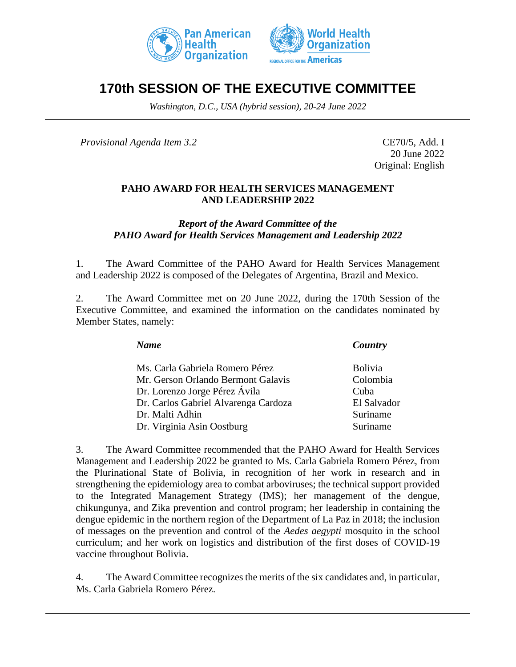



# **170th SESSION OF THE EXECUTIVE COMMITTEE**

*Washington, D.C., USA (hybrid session), 20-24 June 2022*

*Provisional Agenda Item 3.2* CE70/5, Add. I

20 June 2022 Original: English

### **PAHO AWARD FOR HEALTH SERVICES MANAGEMENT AND LEADERSHIP 2022**

*Report of the Award Committee of the PAHO Award for Health Services Management and Leadership 2022*

1. The Award Committee of the PAHO Award for Health Services Management and Leadership 2022 is composed of the Delegates of Argentina, Brazil and Mexico.

2. The Award Committee met on 20 June 2022, during the 170th Session of the Executive Committee, and examined the information on the candidates nominated by Member States, namely:

*Name Country*

Ms. Carla Gabriela Romero Pérez **Bolivia** Mr. Gerson Orlando Bermont Galavis Colombia Dr. Lorenzo Jorge Pérez Ávila Cuba Dr. Carlos Gabriel Alvarenga Cardoza El Salvador Dr. Malti Adhin Suriname Dr. Virginia Asin Oostburg Suriname

3. The Award Committee recommended that the PAHO Award for Health Services Management and Leadership 2022 be granted to Ms. Carla Gabriela Romero Pérez, from the Plurinational State of Bolivia, in recognition of her work in research and in strengthening the epidemiology area to combat arboviruses; the technical support provided to the Integrated Management Strategy (IMS); her management of the dengue, chikungunya, and Zika prevention and control program; her leadership in containing the dengue epidemic in the northern region of the Department of La Paz in 2018; the inclusion of messages on the prevention and control of the *Aedes aegypti* mosquito in the school curriculum; and her work on logistics and distribution of the first doses of COVID-19 vaccine throughout Bolivia.

4. The Award Committee recognizes the merits of the six candidates and, in particular, Ms. Carla Gabriela Romero Pérez.